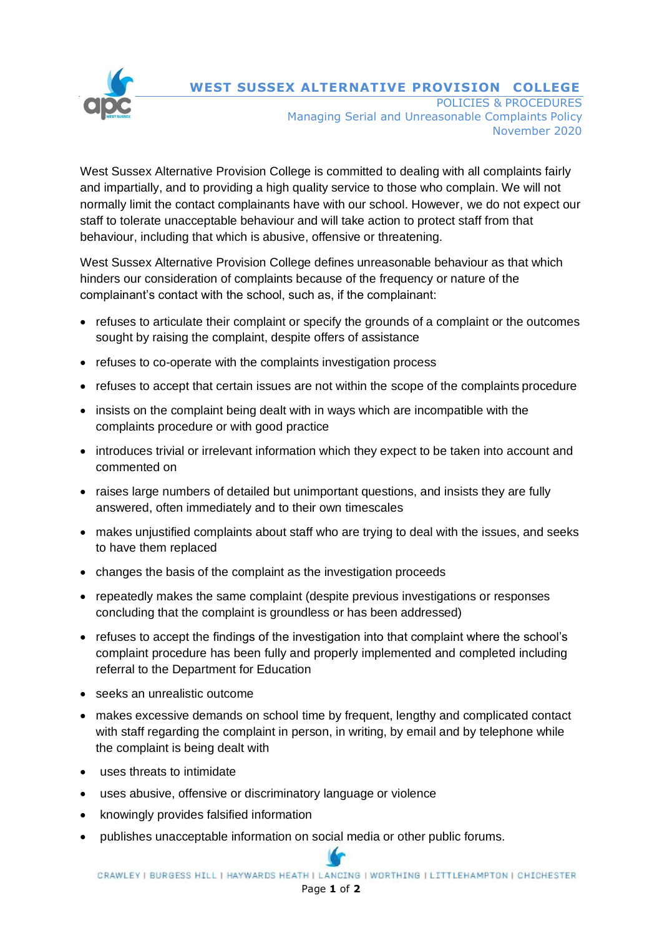

**WEST SUSSEX ALTERNATIVE PROVISION COLLEGE**

POLICIES & PROCEDURES Managing Serial and Unreasonable Complaints Policy November 2020

West Sussex Alternative Provision College is committed to dealing with all complaints fairly and impartially, and to providing a high quality service to those who complain. We will not normally limit the contact complainants have with our school. However, we do not expect our staff to tolerate unacceptable behaviour and will take action to protect staff from that behaviour, including that which is abusive, offensive or threatening.

West Sussex Alternative Provision College defines unreasonable behaviour as that which hinders our consideration of complaints because of the frequency or nature of the complainant's contact with the school, such as, if the complainant:

- refuses to articulate their complaint or specify the grounds of a complaint or the outcomes sought by raising the complaint, despite offers of assistance
- refuses to co-operate with the complaints investigation process
- refuses to accept that certain issues are not within the scope of the complaints procedure
- insists on the complaint being dealt with in ways which are incompatible with the complaints procedure or with good practice
- introduces trivial or irrelevant information which they expect to be taken into account and commented on
- raises large numbers of detailed but unimportant questions, and insists they are fully answered, often immediately and to their own timescales
- makes unjustified complaints about staff who are trying to deal with the issues, and seeks to have them replaced
- changes the basis of the complaint as the investigation proceeds
- repeatedly makes the same complaint (despite previous investigations or responses concluding that the complaint is groundless or has been addressed)
- refuses to accept the findings of the investigation into that complaint where the school's complaint procedure has been fully and properly implemented and completed including referral to the Department for Education
- seeks an unrealistic outcome
- makes excessive demands on school time by frequent, lengthy and complicated contact with staff regarding the complaint in person, in writing, by email and by telephone while the complaint is being dealt with
- uses threats to intimidate
- uses abusive, offensive or discriminatory language or violence
- knowingly provides falsified information
- publishes unacceptable information on social media or other public forums.